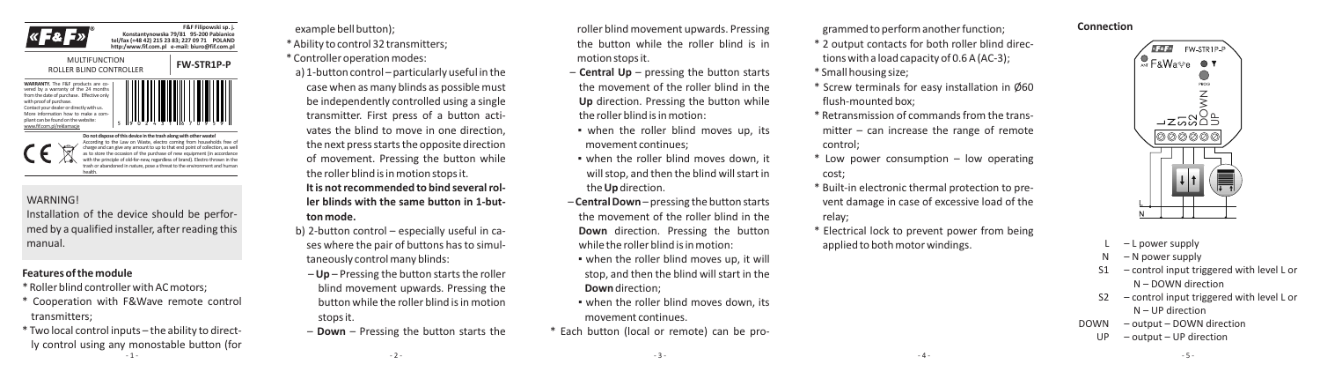



**WARRANTY.** The F&F products are covered by a warranty of the 24 months from the date of purchase. Effective only with proof of purchase Contact your dealer or directly with us. More information how to make a compliant can be found on the website: www.fif.com.pl/reklamacje

5 9 0 2 4 3 1 6 7 0 9 5 9

**F&F Filipowski sp. j. Konstantynowska 79/81 95-200 Pabianice tel/fax (+48 42) 215 23 83; 227 09 71 POLAND http:/www.fif.com.pl e-mail: biuro@fif.com.pl**

Do not dispose of this device in the trash along with other waste According to the Law on Waste, electro coming from households free of charge and can give any amount to up to that end point of collection, as well as to store the occasion of the purchase of new equipment (in accordance with the principle of old-for-new, regardless of brand). Electro thrown in the trash or abandoned in nature, pose a threat to the environment and human health.

#### **WARNING!**

Installation of the device should be performed by a qualified installer, after reading this manual.

# **Features of the module**

\* Roller blind controller with AC motors;

- \* Cooperation with F&Wave remote control transmitters;
- \* Two local control inputs the ability to directly control using any monostable button (for - 1 -

example bell button);

\* Ability to control 32 transmitters; \* Controller operation modes:

a) 1-button control – particularly useful in the case when as many blinds as possible must be independently controlled using a single transmitter. First press of a button activates the blind to move in one direction, the next press starts the opposite direction of movement. Pressing the button while the roller blind is in motion stops it. **It is not recommended to bind several roller blinds with the same button in 1-but-**

- **ton mode.**
- b) 2-button control especially useful in cases where the pair of buttons has to simultaneously control many blinds:
	- **Up**  Pressing the button starts the roller blind movement upwards. Pressing the button while the roller blind is in motion stops it.
	- **Down** Pressing the button starts the

 $-2 -$ 

roller blind movement upwards. Pressing the button while the roller blind is in motion stops it.

- **Central Up** pressing the button starts the movement of the roller blind in the **Up** direction. Pressing the button while the roller blind is in motion:
- when the roller blind moves up, its movement continues;
- when the roller blind moves down, it will stop, and then the blind will start in the **Up** direction.
- **Central Down** pressing the button starts the movement of the roller blind in the **Down** direction. Pressing the button while the roller blind is in motion:
- . when the roller blind moves up, it will stop, and then the blind will start in the **Down**direction;
- when the roller blind moves down, its movement continues.
- \* Each button (local or remote) can be pro-

grammed to perform another function;

- \* 2 output contacts for both roller blind directions with a load capacity of 0.6 A (AC-3); \* Small housing size;
- \* Screw terminals for easy installation in Ø60 flush-mounted box;
- \* Retransmission of commands from the transmitter – can increase the range of remote control;
- \* Low power consumption low operating cost;
- \* Built-in electronic thermal protection to prevent damage in case of excessive load of the relay;
- \* Electrical lock to prevent power from being applied to both motor windings.



- $-L$  power supply
- N N power supply
- S1 control input triggered with level L or N – DOWN direction
- S2 control input triggered with level L or N – UP direction

- 5 -

- DOWN output DOWN direction
	- UP output UP direction

- 3 -

 $-4-$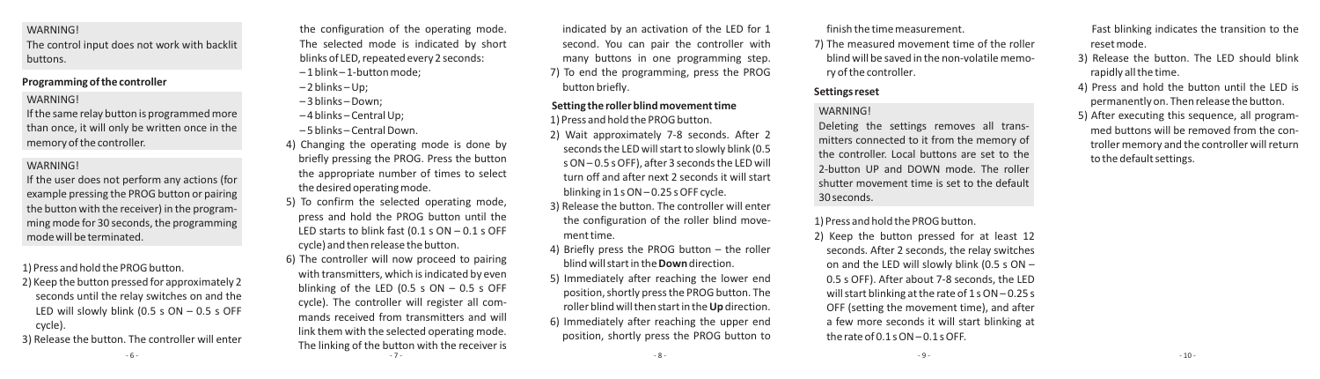#### **WARNING!**

The control input does not work with backlit buttons.

# **Programming of the controller**

### **WARNING!**

If the same relay button is programmed more than once, it will only be written once in the memory of the controller.

### **WARNING!**

If the user does not perform any actions (for example pressing the PROG button or pairing the button with the receiver) in the programming mode for 30 seconds, the programming mode will be terminated.

1) Press and hold the PROG button.

- 2) Keep the button pressed for approximately 2 seconds until the relay switches on and the LED will slowly blink (0.5 s  $ON - 0.5$  s OFF cycle).
- 3) Release the button. The controller will enter

the configuration of the operating mode. The selected mode is indicated by short blinks of LED, repeated every 2 seconds:

- 1 blink 1-button mode;
- $-2$  blinks Up;
- 3 blinks –Down;
- 4 blinks Central Up;
- 5 blinks Central Down.
- 4) Changing the operating mode is done by briefly pressing the PROG. Press the button the appropriate number of times to select the desired operating mode.
- 5) To confirm the selected operating mode, press and hold the PROG button until the LED starts to blink fast (0.1 s ON – 0.1 s OFF cycle) and then release the button. 6) The controller will now proceed to pairing with transmitters, which is indicated by even blinking of the LED (0.5 s  $ON - 0.5$  s OFF
- cycle). The controller will register all commands received from transmitters and will link them with the selected operating mode. The linking of the button with the receiver is

indicated by an activation of the LED for 1 second. You can pair the controller with many buttons in one programming step. 7) To end the programming, press the PROG button briefly.

### **Setting the roller blind movement time**

- 1) Press and hold the PROG button.
- 2) Wait approximately 7-8 seconds. After 2 seconds the LED will start to slowly blink (0.5 s ON – 0.5 s OFF), after 3 seconds the LED will turn off and after next 2 seconds it will start
- blinking in 1 s ON 0.25 s OFF cycle.
- 3) Release the button. The controller will enter the configuration of the roller blind movement time.
- 4) Briefly press the PROG button the roller blind will start in the **Down**direction.
- 5) Immediately after reaching the lower end position, shortly press the PROG button. The roller blind will then start in the **Up** direction. 6) Immediately after reaching the upper end position, shortly press the PROG button to

finish the time measurement.

7) The measured movement time of the roller blind will be saved in the non-volatile memory of the controller.

## **Settings reset**

# **WARNING!**

Deleting the settings removes all transmitters connected to it from the memory of the controller. Local buttons are set to the 2-button UP and DOWN mode. The roller shutter movement time is set to the default 30 seconds.

1) Press and hold the PROG button.

2) Keep the button pressed for at least 12 seconds. After 2 seconds, the relay switches on and the LED will slowly blink (0.5 s ON – 0.5 s OFF). After about 7-8 seconds, the LED will start blinking at the rate of 1 s ON – 0.25 s OFF (setting the movement time), and after a few more seconds it will start blinking at the rate of 0.1 s ON – 0.1 s OFF.

Fast blinking indicates the transition to the reset mode.

- 3) Release the button. The LED should blink rapidly all the time.
- 4) Press and hold the button until the LED is permanently on. Then release the button.
- 5) After executing this sequence, all programmed buttons will be removed from the controller memory and the controller will return to the default settings.